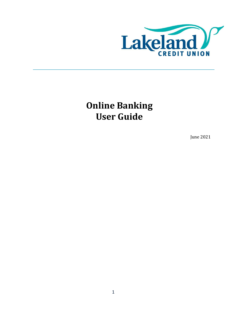

**Online Banking User Guide**

June 2021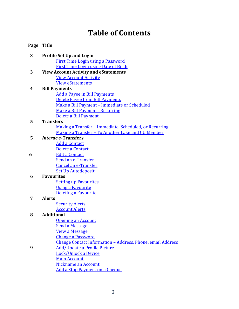# **Table of Contents**

## **Page Title**

| 3 | <b>Profile Set Up and Login</b>                            |
|---|------------------------------------------------------------|
|   | <b>First Time Login using a Password</b>                   |
|   | <b>First Time Login using Date of Birth</b>                |
| 3 | <b>View Account Activity and eStatements</b>               |
|   | <b>View Account Activity</b>                               |
|   | <b>View eStatements</b>                                    |
| 4 | <b>Bill Payments</b>                                       |
|   | <b>Add a Payee in Bill Payments</b>                        |
|   | <b>Delete Payee from Bill Payments</b>                     |
|   | Make a Bill Payment - Immediate or Scheduled               |
|   | Make a Bill Payment - Recurring                            |
|   | Delete a Bill Payment                                      |
| 5 | <b>Transfers</b>                                           |
|   | Making a Transfer - Immediate, Scheduled, or Recurring     |
|   | <u> Making a Transfer - To Another Lakeland CU Member</u>  |
| 5 | <b>Interac e-Transfers</b>                                 |
|   | <b>Add a Contact</b>                                       |
|   | Delete a Contact                                           |
| 6 | <b>Edit a Contact</b>                                      |
|   | Send an e-Transfer                                         |
|   | <b>Cancel an e-Transfer</b>                                |
|   | <b>Set Up Autodeposit</b>                                  |
| 6 | <b>Favourites</b>                                          |
|   | <b>Setting up Favourites</b>                               |
|   | <b>Using a Favourite</b>                                   |
|   | <b>Deleting a Favourite</b>                                |
| 7 | <b>Alerts</b>                                              |
|   | <b>Security Alerts</b>                                     |
|   | <b>Account Alerts</b>                                      |
| 8 | <b>Additional</b>                                          |
|   | <b>Opening an Account</b>                                  |
|   | <b>Send a Message</b>                                      |
|   | View a Message                                             |
|   | <b>Change a Password</b>                                   |
|   | Change Contact Information - Address, Phone, email Address |
| 9 | <b>Add/Update a Profile Picture</b>                        |
|   | Lock/Unlock a Device                                       |
|   | <b>Main Account</b>                                        |
|   | <b>Nickname an Account</b>                                 |
|   | <u>Add a Stop Payment on a Cheque</u>                      |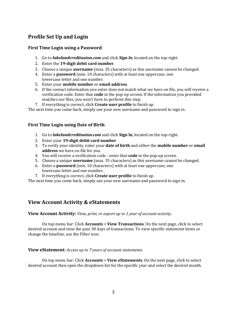## **Profile Set Up and Login**

## <span id="page-2-0"></span>**First Time Login using a Password**:

- 1. Go to *lakelandcreditunion.com* and click *Sign In*, located on the top-right.
- 2. Enter the **19-digit debit card number**.
- 3. Choose a unique **username** (max. 35 characters) as this username cannot be changed.
- 4. Enter a **password** (min. 10 characters) with at least one uppercase, one
- lowercase letter and one number.
- 5. Enter your **mobile number** or **email address**.
- 6. If the contact information you enter does not match what we have on file, you will receive a verification code. Enter that **code** in the pop-up screen. If the information you provided matches our files, you won't have to perform this step.
- 7. If everything is correct, click **Create user profile** to finish up.

The next time you come back, simply use your new username and password to sign in.

### <span id="page-2-1"></span>**First Time Login using Date of Birth**:

- 1. Go to *lakelandcreditunion.com* and click **Sign In**, located on the top-right.
- 2. Enter your **19-digit debit card number**
- 3. To verify your identity, enter your **date of birth** and either the **mobile number** or **email address** we have on file for you.
- 4. You will receive a verification code enter that **code** in the pop-up screen.
- 5. Choose a unique **username** (max. 35 characters) as this username cannot be changed.
- 6. Enter a **password** (min. 10 characters) with at least one uppercase, one lowercase letter and one number.
- 7. If everything is correct, click **Create user profile** to finish up.

The next time you come back, simply use your new username and password to sign in.

## **View Account Activity & eStatements**

<span id="page-2-2"></span>**View Account Activity:** *View, print, or export up to 1 year of account activity.*

On top menu bar: Click **Accounts** > **View Transactions**. On the next page, click to select desired account and view the past 30 days of transactions. To view specific statement items or change the timeline, use the Filter icon.

### <span id="page-2-3"></span>**View eStatement:** *Access up to 7 years of account statements*.

On top menu bar: Click **Accounts** > **View eStatements**. On the next page, click to select desired account then open the dropdown list for the specific year and select the desired month.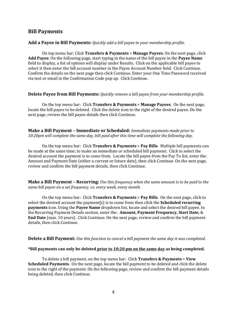## **Bill Payments**

#### <span id="page-3-0"></span>**Add a Payee in Bill Payments:** *Quickly add a bill payee to your membership profile.*

On top menu bar: Click **Transfers & Payments** > **Manage Payees**. On the next page, click **Add Payee**. On the following page, start typing in the name of the bill payee in the **Payee Name** field to display, a list of options will display under Results. Click on the applicable bill payee to select it then enter the bill account number in the Payee Account Number field. Click Continue. Confirm the details on the next page then click Continue. Enter your One Time Password received via text or email in the Confirmation Code pop up. Click Continue.

#### <span id="page-3-1"></span>**Delete Payee from Bill Payments:** *Quickly remove a bill payee from your membership profile.*

On the top menu bar: Click **Transfers & Payments** > **Manage Payees**. On the next page, locate the bill payee to be deleted. Click the delete icon to the right of the desired payee. On the next page, review the bill payee details then click Continue.

<span id="page-3-2"></span>**Make a Bill Payment – Immediate or Scheduled:** *Immediate payments made prior to 10:20pm will complete the same day, bill paid after this time will complete the following day.*

On the top menu bar: Click **Transfers & Payments** > **Pay Bills**. Multiple bill payments can be made at the same time; to make an immediate or scheduled bill payment: Click to select the desired account the payment is to come from. Locate the bill payee from the Pay To list, enter the: Amount and Payment Date (either a current or future date), then click Continue. On the next page, review and confirm the bill payment details, then click Continue.

<span id="page-3-3"></span>**Make a Bill Payment – Recurring:** *Use this frequency when the same amount is to be paid to the same bill payee on a set frequency. i.e. every week, every month.*

On the top menu bar: Click **Transfers & Payments** > **Pay Bills**. On the next page, click to select the desired account the payment(s) is to come from then click the **Scheduled recurring payments** icon. Using the **Payee Name** dropdown list, locate and select the desired bill payee. In the Recurring Payment Details section, enter the: **Amount, Payment Frequency, Start Date,** & **End Date** (max. 10 years). Click Continue. On the next page, review and confirm the bill payment details, then click Continue.

#### <span id="page-3-4"></span>**Delete a Bill Payment:** *Use this function to cancel a bill payment the same day it was completed.*

#### **\*Bill payments can only be deleted prior to 10:20 pm on the same day as being completed.**

To delete a bill payment, on the top menu bar: Click **Transfers & Payments** > **View Scheduled Payments**. On the next page, locate the bill payment to be deleted and click the delete icon to the right of the payment. On the following page, review and confirm the bill payment details being deleted, then click Continue.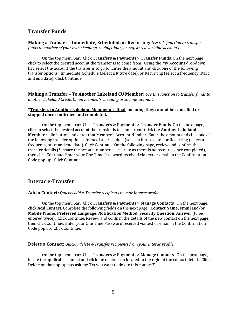## **Transfer Funds**

<span id="page-4-0"></span>**Making a Transfer – Immediate, Scheduled, or Recurring:** *Use this function to transfer funds to another of your own chequing, savings, loan, or registered variable accounts.*

On the top menu bar: Click **Transfers & Payments** > **Transfer Funds**. On the next page, click to select the desired account the transfer is to come from. Using the **My Account** dropdown list, select the account the transfer is to go to. Enter the amount and click one of the following transfer options: Immediate, Schedule (select a future date), or Recurring (select a frequency, start and end date). Click Continue.

<span id="page-4-1"></span>**Making a Transfer – To Another Lakeland CU Member:** *Use this function to transfer funds to another Lakeland Credit Union member's chequing or savings account.*

#### **\*Transfers to Another Lakeland Member are final, meaning they cannot be cancelled or stopped once confirmed and completed.**

On the top menu bar: Click **Transfers & Payments** > **Transfer Funds**. On the next page, click to select the desired account the transfer is to come from. Click the **Another Lakeland Member** radio button and enter that Member's Account Number. Enter the amount and click one of the following transfer options: Immediate, Schedule (select a future date), or Recurring (select a frequency, start and end date). Click Continue. On the following page, review and confirm the transfer details (\*ensure the account number is accurate as there is no recourse once completed), then click Continue. Enter your One Time Password received via text or email in the Confirmation Code pop-up. Click Continue.

## **Interac e-Transfer**

<span id="page-4-2"></span>**Add a Contact:** *Quickly add e-Transfer recipients to your Interac profile*.

On the top menu bar: Click **Transfers & Payments** > **Manage Contacts**. On the next page, click **Add Contact**. Complete the following fields on the next page: **Contact Name, email** and/or **Mobile Phone, Preferred Language, Notification Method, Security Question, Answer** (to be entered twice). Click Continue. Review and confirm the details of the new contact on the next page, then click Continue. Enter your One Time Password received via text or email in the Confirmation Code pop up. Click Continue.

#### <span id="page-4-3"></span>**Delete a Contact:** *Quickly delete e-Transfer recipients from your Interac profile.*

On the top menu bar: Click **Transfers & Payments** > **Manage Contacts**. On the next page, locate the applicable contact and click the delete icon located to the right of the contact details. Click Delete on the pop-up box asking: 'Do you want to delete this contact?'.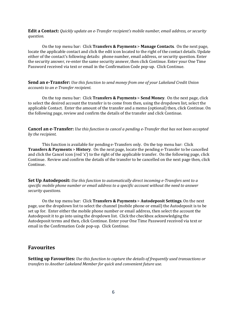<span id="page-5-0"></span>**Edit a Contact:** *Quickly update an e-Transfer recipient's mobile number, email address, or security question.*

On the top menu bar: Click **Transfers & Payments** > **Manage Contacts**. On the next page, locate the applicable contact and click the edit icon located to the right of the contact details. Update either of the contact's following details: phone number, email address, or security question. Enter the security answer, re-enter the same security answer, then click Continue. Enter your One Time Password received via text or email in the Confirmation Code pop-up. Click Continue.

<span id="page-5-1"></span>**Send an e-Transfer:** *Use this function to send money from one of your Lakeland Credit Union accounts to an e-Transfer recipient.*

On the top menu bar: Click **Transfers & Payments** > **Send Money**. On the next page, click to select the desired account the transfer is to come from then, using the dropdown list, select the applicable Contact. Enter the amount of the transfer and a memo (optional) then, click Continue. On the following page, review and confirm the details of the transfer and click Continue.

<span id="page-5-2"></span>**Cancel an e-Transfer:** *Use this function to cancel a pending e-Transfer that has not been accepted by the recipient.*

This function is available for pending e-Transfers only. On the top menu bar: Click **Transfers & Payments** > **History**. On the next page, locate the pending e-Transfer to be cancelled and click the Cancel icon (red 'x') to the right of the applicable transfer. On the following page, click Continue. Review and confirm the details of the transfer to be cancelled on the next page then, click Continue.

<span id="page-5-3"></span>**Set Up Autodeposit:** *Use this function to automatically direct incoming e-Transfers sent to a specific mobile phone number or email address to a specific account without the need to answer security questions.*

On the top menu bar: Click **Transfers & Payments** > **Autodeposit Settings**. On the next page, use the dropdown list to select the channel (mobile phone or email) the Autodeposit is to be set up for. Enter either the mobile phone number or email address, then select the account the Autodeposit it to go into using the dropdown list. Click the checkbox acknowledging the Autodeposit terms and then, click Continue. Enter your One Time Password received via text or email in the Confirmation Code pop-up. Click Continue.

## **Favourites**

<span id="page-5-4"></span>**Setting up Favourites:** *Use this function to capture the details of frequently used transactions or transfers to Another Lakeland Member for quick and convenient future use.*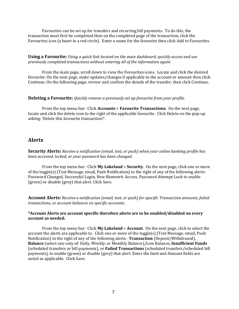Favourites can be set up for transfers and recurring bill payments. To do this, the transaction must first be completed then on the completed page of the transaction, click the Favourites icon (a heart in a red circle). Enter a name for the favourite then click Add to Favourites.

<span id="page-6-0"></span>**Using a Favourite:** *Using a quick link located on the main dashboard, quickly access and use previously completed transactions without entering all of the information again.*

From the main page, scroll down to view the Favourites icons. Locate and click the desired favourite. On the next page, make updates/changes if applicable to the account or amount then click Continue. On the following page, review and confirm the details of the transfer, then click Continue.

#### <span id="page-6-1"></span>**Deleting a Favourite:** *Quickly remove a previously set up favourite from your profile.*

From the top menu bar: Click **Accounts** > **Favourite Transactions**. On the next page, locate and click the delete icon to the right of the applicable favourite. Click Delete on the pop-up asking: 'Delete this favourite transaction?'.

## **Alerts**

<span id="page-6-2"></span>**Security Alerts:** *Receive a notification (email, text, or push) when your online banking profile has been accessed, locked, or your password has been changed.*

From the top menu bar: Click **My Lakeland** > **Security**. On the next page, click one or more of the toggle(s) (Text Message, email, Push Notification) to the right of any of the following alerts: Password Changed, Successful Login, New Biometric Access, Password Attempt Lock to enable (green) or disable (grey) that alert. Click Save.

<span id="page-6-3"></span>**Account Alerts:** *Receive a notification (email, text, or push) for specific Transaction amounts, failed transactions, or account balances on specific accounts.*

#### **\*Account Alerts are account specific therefore alerts are to be enabled/disabled on every account as needed.**

From the top menu bar: Click **My Lakeland** > **Account**. On the next page, click to select the account the alerts are applicable to. Click one or more of the toggle(s) (Text Message, email, Push Notification) to the right of any of the following alerts: **Transaction** (Deposit/Withdrawal), **Balance** (select one only of: Daily, Weekly, or Monthly Balance)/Low Balance**, Insufficient Funds** (scheduled transfers or bill payments), or **Failed Transactions** (scheduled transfers/scheduled bill payments), to enable (green) or disable (grey) that alert. Enter the limit and Amount fields are noted as applicable. Click Save.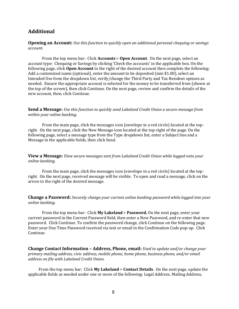## **Additional**

<span id="page-7-0"></span>**Opening an Account:** *Use this function to quickly open an additional personal chequing or savings account.*

From the top menu bar: Click **Accounts** > **Open Account**. On the next page, select an account type: Chequing or Savings by clicking 'Check the accounts' in the applicable box. On the following page, click **Open Account** to the right of the desired account then complete the following: Add a customized name (optional), enter the amount to be deposited (min \$1.00), select an Intended Use from the dropdown list, verify/change the Third Party and Tax Resident options as needed. Ensure the appropriate account is selected for the money to be transferred from (shown at the top of the screen), then click Continue. On the next page, review and confirm the details of the new account, then, click Continue.

<span id="page-7-1"></span>**Send a Message:** *Use this function to quickly send Lakeland Credit Union a secure message from within your online banking.*

From the main page, click the messages icon (envelope in a red circle) located at the topright. On the next page, click the New Message icon located at the top-right of the page. On the following page, select a message type from the Type dropdown list, enter a Subject line and a Message in the applicable fields, then click Send.

<span id="page-7-2"></span>**View a Message:** *View secure messages sent from Lakeland Credit Union while logged onto your online banking.*

From the main page, click the messages icon (envelope in a red circle) located at the topright. On the next page, received message will be visible. To open and read a message, click on the arrow to the right of the desired message.

<span id="page-7-3"></span>**Change a Password:** *Securely change your current online banking password while logged into your online banking.*

From the top menu bar: Click **My Lakeland** > **Password.** On the next page, enter your current password in the Current Password field, then enter a New Password, and re-enter that new password. Click Continue. To confirm the password change, click Continue on the following page. Enter your One Time Password received via text or email in the Confirmation Code pop-up. Click Continue.

<span id="page-7-4"></span>**Change Contact Information – Address, Phone, email:** *Used to update and/or change your primary mailing address, civic address, mobile phone, home phone, business phone, and/or email address on file with Lakeland Credit Union.*

From the top menu bar: Click **My Lakeland** > **Contact Details**. On the next page, update the applicable fields as needed under one or more of the following: Legal Address, Mailing Address,